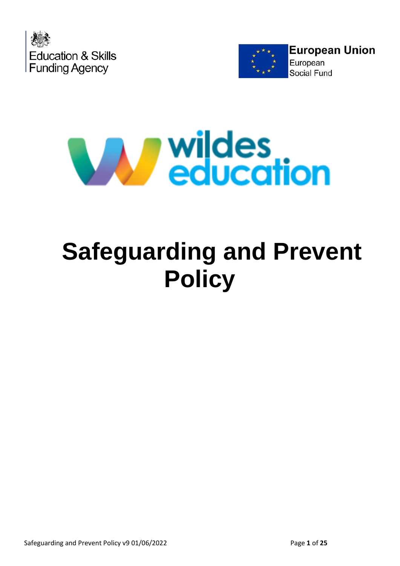





# **Safeguarding and Prevent Policy**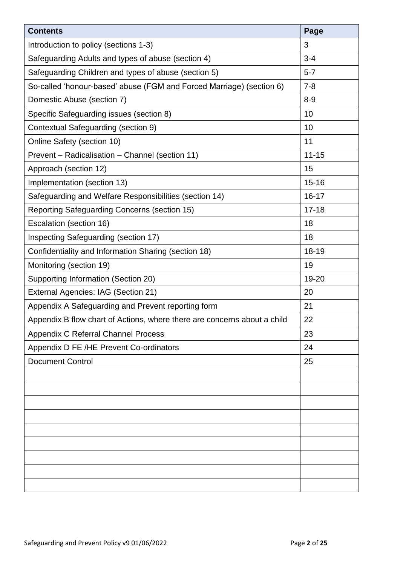| <b>Contents</b>                                                          | Page      |
|--------------------------------------------------------------------------|-----------|
| Introduction to policy (sections 1-3)                                    | 3         |
| Safeguarding Adults and types of abuse (section 4)                       | $3 - 4$   |
| Safeguarding Children and types of abuse (section 5)                     | $5 - 7$   |
| So-called 'honour-based' abuse (FGM and Forced Marriage) (section 6)     | $7 - 8$   |
| Domestic Abuse (section 7)                                               | $8 - 9$   |
| Specific Safeguarding issues (section 8)                                 | 10        |
| Contextual Safeguarding (section 9)                                      | 10        |
| Online Safety (section 10)                                               | 11        |
| Prevent - Radicalisation - Channel (section 11)                          | $11 - 15$ |
| Approach (section 12)                                                    | 15        |
| Implementation (section 13)                                              | $15 - 16$ |
| Safeguarding and Welfare Responsibilities (section 14)                   | $16 - 17$ |
| Reporting Safeguarding Concerns (section 15)                             | $17 - 18$ |
| Escalation (section 16)                                                  | 18        |
| <b>Inspecting Safeguarding (section 17)</b>                              | 18        |
| Confidentiality and Information Sharing (section 18)                     | 18-19     |
| Monitoring (section 19)                                                  | 19        |
| Supporting Information (Section 20)                                      | 19-20     |
| External Agencies: IAG (Section 21)                                      | 20        |
| Appendix A Safeguarding and Prevent reporting form                       | 21        |
| Appendix B flow chart of Actions, where there are concerns about a child | 22        |
| Appendix C Referral Channel Process                                      | 23        |
| Appendix D FE /HE Prevent Co-ordinators                                  | 24        |
| <b>Document Control</b>                                                  | 25        |
|                                                                          |           |
|                                                                          |           |
|                                                                          |           |
|                                                                          |           |
|                                                                          |           |
|                                                                          |           |
|                                                                          |           |
|                                                                          |           |
|                                                                          |           |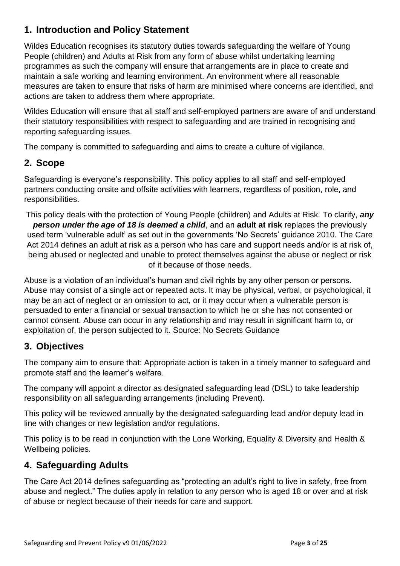# **1. Introduction and Policy Statement**

Wildes Education recognises its statutory duties towards safeguarding the welfare of Young People (children) and Adults at Risk from any form of abuse whilst undertaking learning programmes as such the company will ensure that arrangements are in place to create and maintain a safe working and learning environment. An environment where all reasonable measures are taken to ensure that risks of harm are minimised where concerns are identified, and actions are taken to address them where appropriate.

Wildes Education will ensure that all staff and self-employed partners are aware of and understand their statutory responsibilities with respect to safeguarding and are trained in recognising and reporting safeguarding issues.

The company is committed to safeguarding and aims to create a culture of vigilance.

#### **2. Scope**

Safeguarding is everyone's responsibility. This policy applies to all staff and self-employed partners conducting onsite and offsite activities with learners, regardless of position, role, and responsibilities.

This policy deals with the protection of Young People (children) and Adults at Risk. To clarify, *any*  **person under the age of 18 is deemed a child**, and an **adult at risk** replaces the previously used term 'vulnerable adult' as set out in the governments 'No Secrets' guidance 2010. The Care Act 2014 defines an adult at risk as a person who has care and support needs and/or is at risk of, being abused or neglected and unable to protect themselves against the abuse or neglect or risk of it because of those needs.

Abuse is a violation of an individual's human and civil rights by any other person or persons. Abuse may consist of a single act or repeated acts. It may be physical, verbal, or psychological, it may be an act of neglect or an omission to act, or it may occur when a vulnerable person is persuaded to enter a financial or sexual transaction to which he or she has not consented or cannot consent. Abuse can occur in any relationship and may result in significant harm to, or exploitation of, the person subjected to it. Source: No Secrets Guidance

### **3. Objectives**

The company aim to ensure that: Appropriate action is taken in a timely manner to safeguard and promote staff and the learner's welfare.

The company will appoint a director as designated safeguarding lead (DSL) to take leadership responsibility on all safeguarding arrangements (including Prevent).

This policy will be reviewed annually by the designated safeguarding lead and/or deputy lead in line with changes or new legislation and/or regulations.

This policy is to be read in conjunction with the Lone Working, Equality & Diversity and Health & Wellbeing policies.

### **4. Safeguarding Adults**

The Care Act 2014 defines safeguarding as "protecting an adult's right to live in safety, free from abuse and neglect." The duties apply in relation to any person who is aged 18 or over and at risk of abuse or neglect because of their needs for care and support.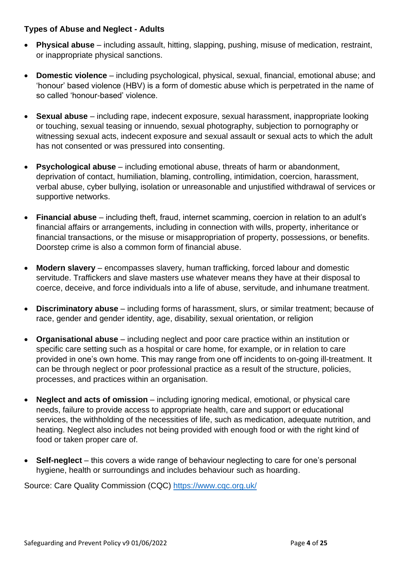#### **Types of Abuse and Neglect - Adults**

- **Physical abuse** including assault, hitting, slapping, pushing, misuse of medication, restraint, or inappropriate physical sanctions.
- **Domestic violence** including psychological, physical, sexual, financial, emotional abuse; and 'honour' based violence (HBV) is a form of domestic abuse which is perpetrated in the name of so called 'honour-based' violence.
- **Sexual abuse** including rape, indecent exposure, sexual harassment, inappropriate looking or touching, sexual teasing or innuendo, sexual photography, subjection to pornography or witnessing sexual acts, indecent exposure and sexual assault or sexual acts to which the adult has not consented or was pressured into consenting.
- **Psychological abuse** including emotional abuse, threats of harm or abandonment, deprivation of contact, humiliation, blaming, controlling, intimidation, coercion, harassment, verbal abuse, cyber bullying, isolation or unreasonable and unjustified withdrawal of services or supportive networks.
- **Financial abuse** including theft, fraud, internet scamming, coercion in relation to an adult's financial affairs or arrangements, including in connection with wills, property, inheritance or financial transactions, or the misuse or misappropriation of property, possessions, or benefits. Doorstep crime is also a common form of financial abuse.
- **Modern slavery** encompasses slavery, human trafficking, forced labour and domestic servitude. Traffickers and slave masters use whatever means they have at their disposal to coerce, deceive, and force individuals into a life of abuse, servitude, and inhumane treatment.
- **Discriminatory abuse** including forms of harassment, slurs, or similar treatment; because of race, gender and gender identity, age, disability, sexual orientation, or religion
- **Organisational abuse** including neglect and poor care practice within an institution or specific care setting such as a hospital or care home, for example, or in relation to care provided in one's own home. This may range from one off incidents to on-going ill-treatment. It can be through neglect or poor professional practice as a result of the structure, policies, processes, and practices within an organisation.
- **Neglect and acts of omission** including ignoring medical, emotional, or physical care needs, failure to provide access to appropriate health, care and support or educational services, the withholding of the necessities of life, such as medication, adequate nutrition, and heating. Neglect also includes not being provided with enough food or with the right kind of food or taken proper care of.
- **Self-neglect** this covers a wide range of behaviour neglecting to care for one's personal hygiene, health or surroundings and includes behaviour such as hoarding.

Source: Care Quality Commission (CQC)<https://www.cqc.org.uk/>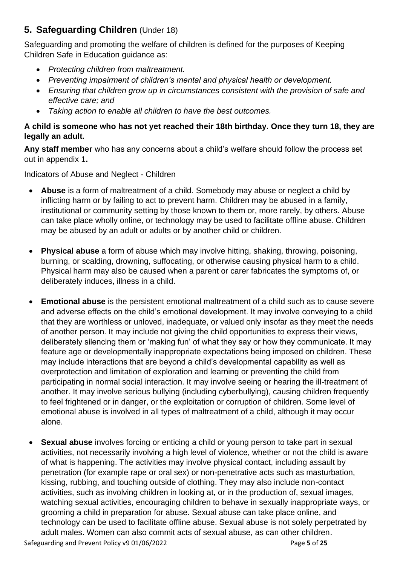# **5. Safeguarding Children** (Under 18)

Safeguarding and promoting the welfare of children is defined for the purposes of Keeping Children Safe in Education guidance as:

- *Protecting children from maltreatment.*
- *Preventing impairment of children's mental and physical health or development.*
- *Ensuring that children grow up in circumstances consistent with the provision of safe and effective care; and*
- *Taking action to enable all children to have the best outcomes.*

#### **A child is someone who has not yet reached their 18th birthday. Once they turn 18, they are legally an adult.**

**Any staff member** who has any concerns about a child's welfare should follow the process set out in appendix 1**.**

Indicators of Abuse and Neglect - Children

- **Abuse** is a form of maltreatment of a child. Somebody may abuse or neglect a child by inflicting harm or by failing to act to prevent harm. Children may be abused in a family, institutional or community setting by those known to them or, more rarely, by others. Abuse can take place wholly online, or technology may be used to facilitate offline abuse. Children may be abused by an adult or adults or by another child or children.
- **Physical abuse** a form of abuse which may involve hitting, shaking, throwing, poisoning, burning, or scalding, drowning, suffocating, or otherwise causing physical harm to a child. Physical harm may also be caused when a parent or carer fabricates the symptoms of, or deliberately induces, illness in a child.
- **Emotional abuse** is the persistent emotional maltreatment of a child such as to cause severe and adverse effects on the child's emotional development. It may involve conveying to a child that they are worthless or unloved, inadequate, or valued only insofar as they meet the needs of another person. It may include not giving the child opportunities to express their views, deliberately silencing them or 'making fun' of what they say or how they communicate. It may feature age or developmentally inappropriate expectations being imposed on children. These may include interactions that are beyond a child's developmental capability as well as overprotection and limitation of exploration and learning or preventing the child from participating in normal social interaction. It may involve seeing or hearing the ill-treatment of another. It may involve serious bullying (including cyberbullying), causing children frequently to feel frightened or in danger, or the exploitation or corruption of children. Some level of emotional abuse is involved in all types of maltreatment of a child, although it may occur alone.
- Safeguarding and Prevent Policy v9 01/06/2022 **Page 5** of 25 • **Sexual abuse** involves forcing or enticing a child or young person to take part in sexual activities, not necessarily involving a high level of violence, whether or not the child is aware of what is happening. The activities may involve physical contact, including assault by penetration (for example rape or oral sex) or non-penetrative acts such as masturbation, kissing, rubbing, and touching outside of clothing. They may also include non-contact activities, such as involving children in looking at, or in the production of, sexual images, watching sexual activities, encouraging children to behave in sexually inappropriate ways, or grooming a child in preparation for abuse. Sexual abuse can take place online, and technology can be used to facilitate offline abuse. Sexual abuse is not solely perpetrated by adult males. Women can also commit acts of sexual abuse, as can other children.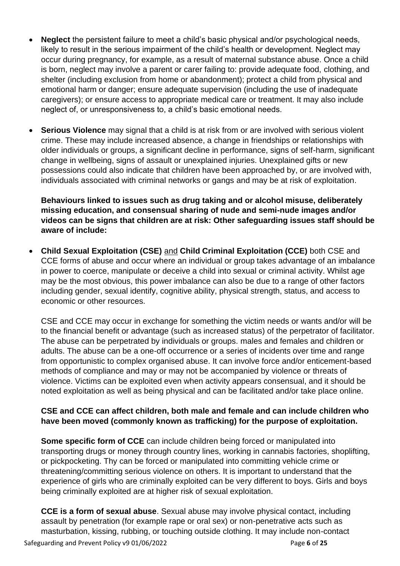- **Neglect** the persistent failure to meet a child's basic physical and/or psychological needs, likely to result in the serious impairment of the child's health or development. Neglect may occur during pregnancy, for example, as a result of maternal substance abuse. Once a child is born, neglect may involve a parent or carer failing to: provide adequate food, clothing, and shelter (including exclusion from home or abandonment); protect a child from physical and emotional harm or danger; ensure adequate supervision (including the use of inadequate caregivers); or ensure access to appropriate medical care or treatment. It may also include neglect of, or unresponsiveness to, a child's basic emotional needs.
- **Serious Violence** may signal that a child is at risk from or are involved with serious violent crime. These may include increased absence, a change in friendships or relationships with older individuals or groups, a significant decline in performance, signs of self-harm, significant change in wellbeing, signs of assault or unexplained injuries. Unexplained gifts or new possessions could also indicate that children have been approached by, or are involved with, individuals associated with criminal networks or gangs and may be at risk of exploitation.

**Behaviours linked to issues such as drug taking and or alcohol misuse, deliberately missing education, and consensual sharing of nude and semi-nude images and/or videos can be signs that children are at risk: Other safeguarding issues staff should be aware of include:**

• **Child Sexual Exploitation (CSE)** and **Child Criminal Exploitation (CCE)** both CSE and CCE forms of abuse and occur where an individual or group takes advantage of an imbalance in power to coerce, manipulate or deceive a child into sexual or criminal activity. Whilst age may be the most obvious, this power imbalance can also be due to a range of other factors including gender, sexual identify, cognitive ability, physical strength, status, and access to economic or other resources.

CSE and CCE may occur in exchange for something the victim needs or wants and/or will be to the financial benefit or advantage (such as increased status) of the perpetrator of facilitator. The abuse can be perpetrated by individuals or groups. males and females and children or adults. The abuse can be a one-off occurrence or a series of incidents over time and range from opportunistic to complex organised abuse. It can involve force and/or enticement-based methods of compliance and may or may not be accompanied by violence or threats of violence. Victims can be exploited even when activity appears consensual, and it should be noted exploitation as well as being physical and can be facilitated and/or take place online.

#### **CSE and CCE can affect children, both male and female and can include children who have been moved (commonly known as trafficking) for the purpose of exploitation.**

**Some specific form of CCE** can include children being forced or manipulated into transporting drugs or money through country lines, working in cannabis factories, shoplifting, or pickpocketing. Thy can be forced or manipulated into committing vehicle crime or threatening/committing serious violence on others. It is important to understand that the experience of girls who are criminally exploited can be very different to boys. Girls and boys being criminally exploited are at higher risk of sexual exploitation.

Safeguarding and Prevent Policy v9 01/06/2022 Page **6** of **25 CCE is a form of sexual abuse**. Sexual abuse may involve physical contact, including assault by penetration (for example rape or oral sex) or non-penetrative acts such as masturbation, kissing, rubbing, or touching outside clothing. It may include non-contact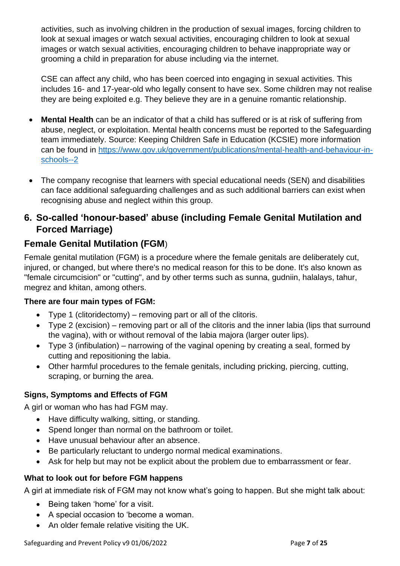activities, such as involving children in the production of sexual images, forcing children to look at sexual images or watch sexual activities, encouraging children to look at sexual images or watch sexual activities, encouraging children to behave inappropriate way or grooming a child in preparation for abuse including via the internet.

CSE can affect any child, who has been coerced into engaging in sexual activities. This includes 16- and 17-year-old who legally consent to have sex. Some children may not realise they are being exploited e.g. They believe they are in a genuine romantic relationship.

- **Mental Health** can be an indicator of that a child has suffered or is at risk of suffering from abuse, neglect, or exploitation. Mental health concerns must be reported to the Safeguarding team immediately. Source: Keeping Children Safe in Education (KCSIE) more information can be found in [https://www.gov.uk/government/publications/mental-health-and-behaviour-in](https://www.gov.uk/government/publications/mental-health-and-behaviour-in-schools--2)[schools--2](https://www.gov.uk/government/publications/mental-health-and-behaviour-in-schools--2)
- The company recognise that learners with special educational needs (SEN) and disabilities can face additional safeguarding challenges and as such additional barriers can exist when recognising abuse and neglect within this group.

# **6. So-called 'honour-based' abuse (including Female Genital Mutilation and Forced Marriage)**

# **Female Genital Mutilation (FGM**)

Female genital mutilation (FGM) is a procedure where the female genitals are deliberately cut, injured, or changed, but where there's no medical reason for this to be done. It's also known as "female circumcision" or "cutting", and by other terms such as sunna, gudniin, halalays, tahur, megrez and khitan, among others.

#### **There are four main types of FGM:**

- Type 1 (clitoridectomy) removing part or all of the clitoris.
- Type 2 (excision) removing part or all of the clitoris and the inner labia (lips that surround the vagina), with or without removal of the labia majora (larger outer lips).
- Type 3 (infibulation) narrowing of the vaginal opening by creating a seal, formed by cutting and repositioning the labia.
- Other harmful procedures to the female genitals, including pricking, piercing, cutting, scraping, or burning the area.

#### **Signs, Symptoms and Effects of FGM**

A girl or woman who has had FGM may.

- Have difficulty walking, sitting, or standing.
- Spend longer than normal on the bathroom or toilet.
- Have unusual behaviour after an absence.
- Be particularly reluctant to undergo normal medical examinations.
- Ask for help but may not be explicit about the problem due to embarrassment or fear.

#### **What to look out for before FGM happens**

A girl at immediate risk of FGM may not know what's going to happen. But she might talk about:

- Being taken 'home' for a visit.
- A special occasion to 'become a woman.
- An older female relative visiting the UK.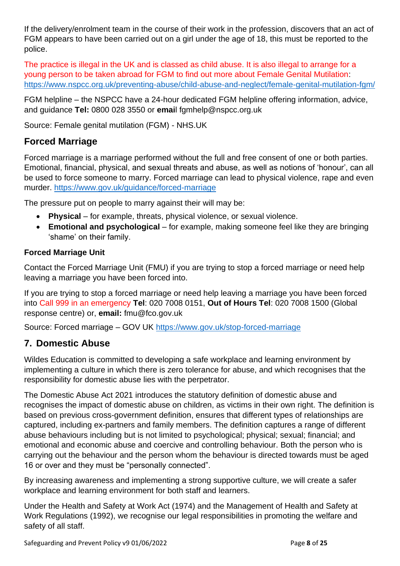If the delivery/enrolment team in the course of their work in the profession, discovers that an act of FGM appears to have been carried out on a girl under the age of 18, this must be reported to the police.

The practice is illegal in the UK and is classed as child abuse. It is also illegal to arrange for a young person to be taken abroad for FGM to find out more about Female Genital Mutilation: <https://www.nspcc.org.uk/preventing-abuse/child-abuse-and-neglect/female-genital-mutilation-fgm/>

FGM helpline – the NSPCC have a 24-hour dedicated FGM helpline offering information, advice, and guidance **Tel:** 0800 028 3550 or **emai**l fgmhelp@nspcc.org.uk

Source: Female genital mutilation (FGM) - NHS.UK

# **Forced Marriage**

Forced marriage is a marriage performed without the full and free consent of one or both parties. Emotional, financial, physical, and sexual threats and abuse, as well as notions of 'honour', can all be used to force someone to marry. Forced marriage can lead to physical violence, rape and even murder.<https://www.gov.uk/guidance/forced-marriage>

The pressure put on people to marry against their will may be:

- **Physical** for example, threats, physical violence, or sexual violence.
- **Emotional and psychological** for example, making someone feel like they are bringing 'shame' on their family.

#### **Forced Marriage Unit**

Contact the Forced Marriage Unit (FMU) if you are trying to stop a forced marriage or need help leaving a marriage you have been forced into.

If you are trying to stop a forced marriage or need help leaving a marriage you have been forced into Call 999 in an emergency **Tel**: 020 7008 0151, **Out of Hours Tel**: 020 7008 1500 (Global response centre) or, **email:** fmu@fco.gov.uk

Source: Forced marriage – GOV UK<https://www.gov.uk/stop-forced-marriage>

### **7. Domestic Abuse**

Wildes Education is committed to developing a safe workplace and learning environment by implementing a culture in which there is zero tolerance for abuse, and which recognises that the responsibility for domestic abuse lies with the perpetrator.

The Domestic Abuse Act 2021 introduces the statutory definition of domestic abuse and recognises the impact of domestic abuse on children, as victims in their own right. The definition is based on previous cross-government definition, ensures that different types of relationships are captured, including ex-partners and family members. The definition captures a range of different abuse behaviours including but is not limited to psychological; physical; sexual; financial; and emotional and economic abuse and coercive and controlling behaviour. Both the person who is carrying out the behaviour and the person whom the behaviour is directed towards must be aged 16 or over and they must be "personally connected".

By increasing awareness and implementing a strong supportive culture, we will create a safer workplace and learning environment for both staff and learners.

Under the Health and Safety at Work Act (1974) and the Management of Health and Safety at Work Regulations (1992), we recognise our legal responsibilities in promoting the welfare and safety of all staff.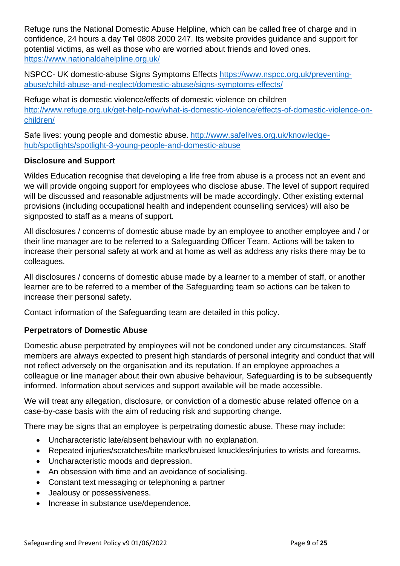Refuge runs the National Domestic Abuse Helpline, which can be called free of charge and in confidence, 24 hours a day **Tel** 0808 2000 247. Its website provides guidance and support for potential victims, as well as those who are worried about friends and loved ones. <https://www.nationaldahelpline.org.uk/>

NSPCC- UK domestic-abuse Signs Symptoms Effects [https://www.nspcc.org.uk/preventing](https://www.nspcc.org.uk/preventing-abuse/child-abuse-and-neglect/domestic-abuse/signs-symptoms-effects/)[abuse/child-abuse-and-neglect/domestic-abuse/signs-symptoms-effects/](https://www.nspcc.org.uk/preventing-abuse/child-abuse-and-neglect/domestic-abuse/signs-symptoms-effects/)

Refuge what is domestic violence/effects of domestic violence on children [http://www.refuge.org.uk/get-help-now/what-is-domestic-violence/effects-of-domestic-violence-on](http://www.refuge.org.uk/get-help-now/what-is-domestic-violence/effects-of-domestic-violence-on-children/)[children/](http://www.refuge.org.uk/get-help-now/what-is-domestic-violence/effects-of-domestic-violence-on-children/)

Safe lives: young people and domestic abuse. [http://www.safelives.org.uk/knowledge](http://www.safelives.org.uk/knowledge-hub/spotlights/spotlight-3-young-people-and-domestic-abuse)[hub/spotlights/spotlight-3-young-people-and-domestic-abuse](http://www.safelives.org.uk/knowledge-hub/spotlights/spotlight-3-young-people-and-domestic-abuse)

#### **Disclosure and Support**

Wildes Education recognise that developing a life free from abuse is a process not an event and we will provide ongoing support for employees who disclose abuse. The level of support required will be discussed and reasonable adjustments will be made accordingly. Other existing external provisions (including occupational health and independent counselling services) will also be signposted to staff as a means of support.

All disclosures / concerns of domestic abuse made by an employee to another employee and / or their line manager are to be referred to a Safeguarding Officer Team. Actions will be taken to increase their personal safety at work and at home as well as address any risks there may be to colleagues.

All disclosures / concerns of domestic abuse made by a learner to a member of staff, or another learner are to be referred to a member of the Safeguarding team so actions can be taken to increase their personal safety.

Contact information of the Safeguarding team are detailed in this policy.

#### **Perpetrators of Domestic Abuse**

Domestic abuse perpetrated by employees will not be condoned under any circumstances. Staff members are always expected to present high standards of personal integrity and conduct that will not reflect adversely on the organisation and its reputation. If an employee approaches a colleague or line manager about their own abusive behaviour, Safeguarding is to be subsequently informed. Information about services and support available will be made accessible.

We will treat any allegation, disclosure, or conviction of a domestic abuse related offence on a case-by-case basis with the aim of reducing risk and supporting change.

There may be signs that an employee is perpetrating domestic abuse. These may include:

- Uncharacteristic late/absent behaviour with no explanation.
- Repeated injuries/scratches/bite marks/bruised knuckles/injuries to wrists and forearms.
- Uncharacteristic moods and depression.
- An obsession with time and an avoidance of socialising.
- Constant text messaging or telephoning a partner
- Jealousy or possessiveness.
- Increase in substance use/dependence.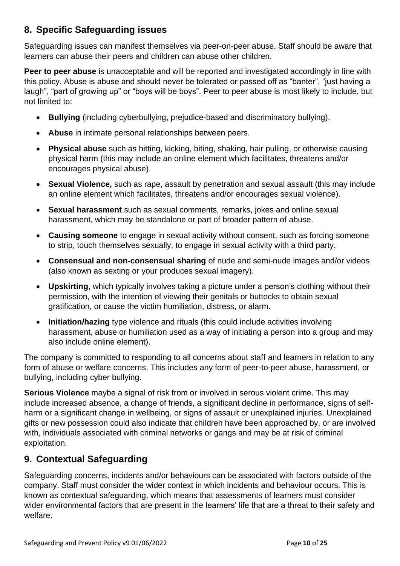# **8. Specific Safeguarding issues**

Safeguarding issues can manifest themselves via peer-on-peer abuse. Staff should be aware that learners can abuse their peers and children can abuse other children.

**Peer to peer abuse** is unacceptable and will be reported and investigated accordingly in line with this policy. Abuse is abuse and should never be tolerated or passed off as "banter", "just having a laugh", "part of growing up" or "boys will be boys". Peer to peer abuse is most likely to include, but not limited to:

- **Bullying** (including cyberbullying, prejudice-based and discriminatory bullying).
- **Abuse** in intimate personal relationships between peers.
- **Physical abuse** such as hitting, kicking, biting, shaking, hair pulling, or otherwise causing physical harm (this may include an online element which facilitates, threatens and/or encourages physical abuse).
- **Sexual Violence,** such as rape, assault by penetration and sexual assault (this may include an online element which facilitates, threatens and/or encourages sexual violence).
- **Sexual harassment** such as sexual comments, remarks, jokes and online sexual harassment, which may be standalone or part of broader pattern of abuse.
- **Causing someone** to engage in sexual activity without consent, such as forcing someone to strip, touch themselves sexually, to engage in sexual activity with a third party.
- **Consensual and non-consensual sharing** of nude and semi-nude images and/or videos (also known as sexting or your produces sexual imagery).
- **Upskirting**, which typically involves taking a picture under a person's clothing without their permission, with the intention of viewing their genitals or buttocks to obtain sexual gratification, or cause the victim humiliation, distress, or alarm.
- **Initiation/hazing** type violence and rituals (this could include activities involving harassment, abuse or humiliation used as a way of initiating a person into a group and may also include online element).

The company is committed to responding to all concerns about staff and learners in relation to any form of abuse or welfare concerns. This includes any form of peer-to-peer abuse, harassment, or bullying, including cyber bullying.

**Serious Violence** maybe a signal of risk from or involved in serous violent crime. This may include increased absence, a change of friends, a significant decline in performance, signs of selfharm or a significant change in wellbeing, or signs of assault or unexplained injuries. Unexplained gifts or new possession could also indicate that children have been approached by, or are involved with, individuals associated with criminal networks or gangs and may be at risk of criminal exploitation.

# **9. Contextual Safeguarding**

Safeguarding concerns, incidents and/or behaviours can be associated with factors outside of the company. Staff must consider the wider context in which incidents and behaviour occurs. This is known as contextual safeguarding, which means that assessments of learners must consider wider environmental factors that are present in the learners' life that are a threat to their safety and welfare.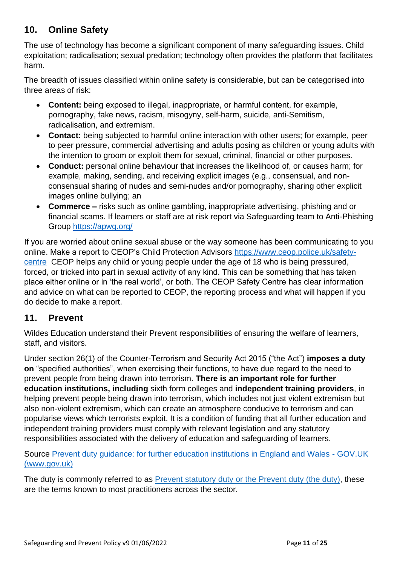# **10. Online Safety**

The use of technology has become a significant component of many safeguarding issues. Child exploitation; radicalisation; sexual predation; technology often provides the platform that facilitates harm.

The breadth of issues classified within online safety is considerable, but can be categorised into three areas of risk:

- **Content:** being exposed to illegal, inappropriate, or harmful content, for example, pornography, fake news, racism, misogyny, self-harm, suicide, anti-Semitism, radicalisation, and extremism.
- **Contact:** being subjected to harmful online interaction with other users; for example, peer to peer pressure, commercial advertising and adults posing as children or young adults with the intention to groom or exploit them for sexual, criminal, financial or other purposes.
- **Conduct:** personal online behaviour that increases the likelihood of, or causes harm; for example, making, sending, and receiving explicit images (e.g., consensual, and nonconsensual sharing of nudes and semi-nudes and/or pornography, sharing other explicit images online bullying; an
- **Commerce –** risks such as online gambling, inappropriate advertising, phishing and or financial scams. If learners or staff are at risk report via Safeguarding team to Anti-Phishing Group<https://apwg.org/>

If you are worried about online sexual abuse or the way someone has been communicating to you online. Make a report to CEOP's Child Protection Advisors [https://www.ceop.police.uk/safety](https://www.ceop.police.uk/safety-centre)[centre](https://www.ceop.police.uk/safety-centre) CEOP helps any child or young people under the age of 18 who is being pressured, forced, or tricked into part in sexual activity of any kind. This can be something that has taken place either online or in 'the real world', or both. The CEOP Safety Centre has clear information and advice on what can be reported to CEOP, the reporting process and what will happen if you do decide to make a report.

### **11. Prevent**

Wildes Education understand their Prevent responsibilities of ensuring the welfare of learners, staff, and visitors.

Under section 26(1) of the Counter-Terrorism and Security Act 2015 ("the Act") **imposes a duty on** "specified authorities", when exercising their functions, to have due regard to the need to prevent people from being drawn into terrorism. **There is an important role for further education institutions, including** sixth form colleges and **independent training providers**, in helping prevent people being drawn into terrorism, which includes not just violent extremism but also non-violent extremism, which can create an atmosphere conducive to terrorism and can popularise views which terrorists exploit. It is a condition of funding that all further education and independent training providers must comply with relevant legislation and any statutory responsibilities associated with the delivery of education and safeguarding of learners.

Source Prevent [duty guidance: for further education institutions in England and Wales -](https://www.gov.uk/government/publications/prevent-duty-guidance/prevent-duty-guidance-for-further-education-institutions-in-england-and-wales) GOV.UK [\(www.gov.uk\)](https://www.gov.uk/government/publications/prevent-duty-guidance/prevent-duty-guidance-for-further-education-institutions-in-england-and-wales)

The duty is commonly referred to as **Prevent [statutory](https://www.gov.uk/government/publications/prevent-duty-guidance/prevent-duty-guidance-for-further-education-institutions-in-england-and-wales) duty or the Prevent duty** (the duty), these are the terms known to most practitioners across the sector.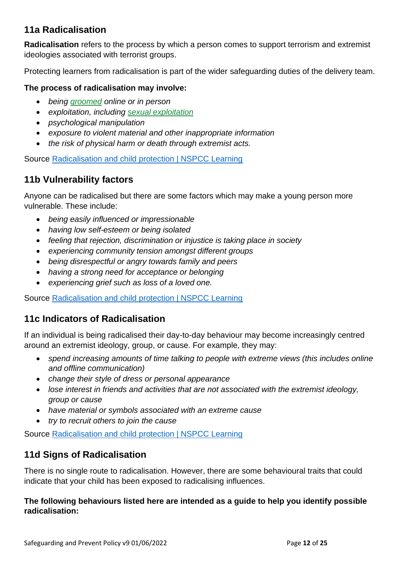# **11a Radicalisation**

**Radicalisation** refers to the process by which a person comes to support terrorism and extremist ideologies associated with terrorist groups.

Protecting learners from radicalisation is part of the wider safeguarding duties of the delivery team.

#### **The process of radicalisation may involve:**

- *being [groomed](https://learning.nspcc.org.uk/research-resources/briefings/grooming/) online or in person*
- *exploitation, including [sexual exploitation](https://learning.nspcc.org.uk/child-abuse-and-neglect/child-sexual-exploitation/)*
- *psychological manipulation*
- *exposure to violent material and other inappropriate information*
- *the risk of physical harm or death through extremist acts.*

Source [Radicalisation and child protection | NSPCC Learning](https://learning.nspcc.org.uk/safeguarding-child-protection/radicalisation#heading-top)

# **11b Vulnerability factors**

Anyone can be radicalised but there are some factors which may make a young person more vulnerable. These include:

- *being easily influenced or impressionable*
- *having low self-esteem or being isolated*
- *feeling that rejection, discrimination or injustice is taking place in society*
- *experiencing community tension amongst different groups*
- *being disrespectful or angry towards family and peers*
- *having a strong need for acceptance or belonging*
- *experiencing grief such as loss of a loved one.*

Source [Radicalisation and child protection | NSPCC Learning](https://learning.nspcc.org.uk/safeguarding-child-protection/radicalisation#heading-top)

### **11c Indicators of Radicalisation**

If an individual is being radicalised their day-to-day behaviour may become increasingly centred around an extremist ideology, group, or cause. For example, they may:

- *spend increasing amounts of time talking to people with extreme views (this includes online and offline communication)*
- *change their style of dress or personal appearance*
- *lose interest in friends and activities that are not associated with the extremist ideology, group or cause*
- *have material or symbols associated with an extreme cause*
- *try to recruit others to join the cause*

Source [Radicalisation and child protection | NSPCC Learning](https://learning.nspcc.org.uk/safeguarding-child-protection/radicalisation#heading-top)

# **11d Signs of Radicalisation**

There is no single route to radicalisation. However, there are some behavioural traits that could indicate that your child has been exposed to radicalising influences.

#### **The following behaviours listed here are intended as a guide to help you identify possible radicalisation:**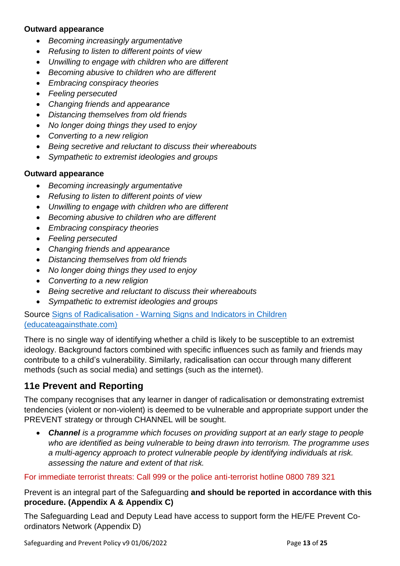#### **Outward appearance**

- *Becoming increasingly argumentative*
- *Refusing to listen to different points of view*
- *Unwilling to engage with children who are different*
- *Becoming abusive to children who are different*
- *Embracing conspiracy theories*
- *Feeling persecuted*
- *Changing friends and appearance*
- *Distancing themselves from old friends*
- *No longer doing things they used to enjoy*
- *Converting to a new religion*
- *Being secretive and reluctant to discuss their whereabouts*
- *Sympathetic to extremist ideologies and groups*

#### **Outward appearance**

- *Becoming increasingly argumentative*
- *Refusing to listen to different points of view*
- *Unwilling to engage with children who are different*
- *Becoming abusive to children who are different*
- *Embracing conspiracy theories*
- *Feeling persecuted*
- *Changing friends and appearance*
- *Distancing themselves from old friends*
- *No longer doing things they used to enjoy*
- *Converting to a new religion*
- *Being secretive and reluctant to discuss their whereabouts*
- *Sympathetic to extremist ideologies and groups*

Source Signs of Radicalisation - [Warning Signs and Indicators in Children](https://educateagainsthate.com/signs-of-radicalisation/#:~:text=%20Signs%20of%20radicalisation%20%201%20Becoming%20increasingly,Sympathetic%20to%20extremist%20ideologies%20and%20groups%20More%20)  [\(educateagainsthate.com\)](https://educateagainsthate.com/signs-of-radicalisation/#:~:text=%20Signs%20of%20radicalisation%20%201%20Becoming%20increasingly,Sympathetic%20to%20extremist%20ideologies%20and%20groups%20More%20)

There is no single way of identifying whether a child is likely to be susceptible to an extremist ideology. Background factors combined with specific influences such as family and friends may contribute to a child's vulnerability. Similarly, radicalisation can occur through many different methods (such as social media) and settings (such as the internet).

### **11e Prevent and Reporting**

The company recognises that any learner in danger of radicalisation or demonstrating extremist tendencies (violent or non-violent) is deemed to be vulnerable and appropriate support under the PREVENT strategy or through CHANNEL will be sought.

• *Channel is a programme which focuses on providing support at an early stage to people who are identified as being vulnerable to being drawn into terrorism. The programme uses a multi-agency approach to protect vulnerable people by identifying individuals at risk. assessing the nature and extent of that risk.*

#### For immediate terrorist threats: Call 999 or the police anti-terrorist hotline 0800 789 321

#### Prevent is an integral part of the Safeguarding **and should be reported in accordance with this procedure. (Appendix A & Appendix C)**

The Safeguarding Lead and Deputy Lead have access to support form the HE/FE Prevent Coordinators Network (Appendix D)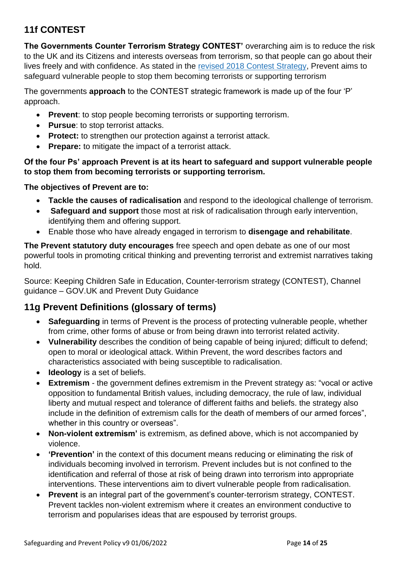# **11f CONTEST**

**The Governments Counter Terrorism Strategy CONTEST'** overarching aim is to reduce the risk to the UK and its Citizens and interests overseas from terrorism, so that people can go about their lives freely and with confidence. As stated in the revised 2018 Contest [Strategy,](https://www.gov.uk/government/publications/counter-terrorism-strategy-contest) Prevent aims to safeguard vulnerable people to stop them becoming terrorists or supporting terrorism

The governments **approach** to the CONTEST strategic framework is made up of the four 'P' approach.

- **Prevent**: to stop people becoming terrorists or supporting terrorism.
- **Pursue**: to stop terrorist attacks.
- **Protect:** to strengthen our protection against a terrorist attack.
- **Prepare:** to mitigate the impact of a terrorist attack.

#### **Of the four Ps' approach Prevent is at its heart to safeguard and support vulnerable people to stop them from becoming terrorists or supporting terrorism.**

#### **The objectives of Prevent are to:**

- **Tackle the causes of radicalisation** and respond to the ideological challenge of terrorism.
- **Safeguard and support** those most at risk of radicalisation through early intervention, identifying them and offering support.
- Enable those who have already engaged in terrorism to **disengage and rehabilitate**.

**The Prevent statutory duty encourages** free speech and open debate as one of our most powerful tools in promoting critical thinking and preventing terrorist and extremist narratives taking hold.

Source: Keeping Children Safe in Education, Counter-terrorism strategy (CONTEST), Channel guidance – GOV.UK and Prevent Duty Guidance

# **11g Prevent Definitions (glossary of terms)**

- **Safeguarding** in terms of Prevent is the process of protecting vulnerable people, whether from crime, other forms of abuse or from being drawn into terrorist related activity.
- **Vulnerability** describes the condition of being capable of being injured; difficult to defend; open to moral or ideological attack. Within Prevent, the word describes factors and characteristics associated with being susceptible to radicalisation.
- **Ideology** is a set of beliefs.
- **Extremism** the government defines extremism in the Prevent strategy as: "vocal or active opposition to fundamental British values, including democracy, the rule of law, individual liberty and mutual respect and tolerance of different faiths and beliefs. the strategy also include in the definition of extremism calls for the death of members of our armed forces", whether in this country or overseas".
- **Non-violent extremism'** is extremism, as defined above, which is not accompanied by violence.
- **'Prevention'** in the context of this document means reducing or eliminating the risk of individuals becoming involved in terrorism. Prevent includes but is not confined to the identification and referral of those at risk of being drawn into terrorism into appropriate interventions. These interventions aim to divert vulnerable people from radicalisation.
- **Prevent** is an integral part of the government's counter-terrorism strategy, CONTEST. Prevent tackles non-violent extremism where it creates an environment conductive to terrorism and popularises ideas that are espoused by terrorist groups.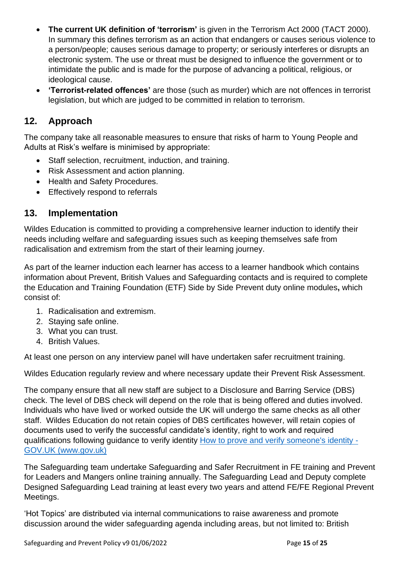- **The current UK definition of 'terrorism'** is given in the Terrorism Act 2000 (TACT 2000). In summary this defines terrorism as an action that endangers or causes serious violence to a person/people; causes serious damage to property; or seriously interferes or disrupts an electronic system. The use or threat must be designed to influence the government or to intimidate the public and is made for the purpose of advancing a political, religious, or ideological cause.
- **'Terrorist-related offences'** are those (such as murder) which are not offences in terrorist legislation, but which are judged to be committed in relation to terrorism.

# **12. Approach**

The company take all reasonable measures to ensure that risks of harm to Young People and Adults at Risk's welfare is minimised by appropriate:

- Staff selection, recruitment, induction, and training.
- Risk Assessment and action planning.
- Health and Safety Procedures.
- Effectively respond to referrals

### **13. Implementation**

Wildes Education is committed to providing a comprehensive learner induction to identify their needs including welfare and safeguarding issues such as keeping themselves safe from radicalisation and extremism from the start of their learning journey.

As part of the learner induction each learner has access to a learner handbook which contains information about Prevent, British Values and Safeguarding contacts and is required to complete the Education and Training Foundation (ETF) Side by Side Prevent duty online modules**,** which consist of:

- 1. Radicalisation and extremism.
- 2. Staying safe online.
- 3. What you can trust.
- 4. British Values.

At least one person on any interview panel will have undertaken safer recruitment training.

Wildes Education regularly review and where necessary update their Prevent Risk Assessment.

The company ensure that all new staff are subject to a Disclosure and Barring Service (DBS) check. The level of DBS check will depend on the role that is being offered and duties involved. Individuals who have lived or worked outside the UK will undergo the same checks as all other staff. Wildes Education do not retain copies of DBS certificates however, will retain copies of documents used to verify the successful candidate's identity, right to work and required qualifications following guidance to verify identity [How to prove and verify someone's identity -](https://www.gov.uk/government/publications/identity-proofing-and-verification-of-an-individual) [GOV.UK \(www.gov.uk\)](https://www.gov.uk/government/publications/identity-proofing-and-verification-of-an-individual) 

The Safeguarding team undertake Safeguarding and Safer Recruitment in FE training and Prevent for Leaders and Mangers online training annually. The Safeguarding Lead and Deputy complete Designed Safeguarding Lead training at least every two years and attend FE/FE Regional Prevent Meetings.

'Hot Topics' are distributed via internal communications to raise awareness and promote discussion around the wider safeguarding agenda including areas, but not limited to: British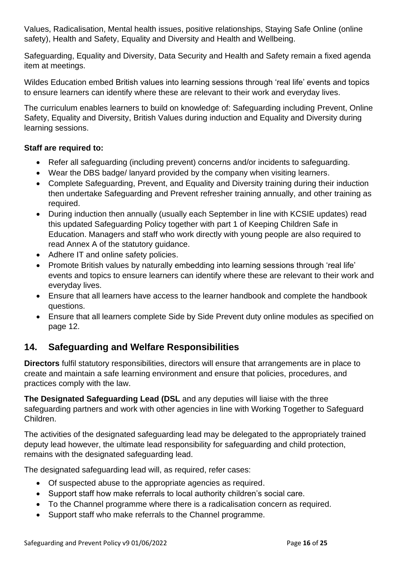Values, Radicalisation, Mental health issues, positive relationships, Staying Safe Online (online safety), Health and Safety, Equality and Diversity and Health and Wellbeing.

Safeguarding, Equality and Diversity, Data Security and Health and Safety remain a fixed agenda item at meetings.

Wildes Education embed British values into learning sessions through 'real life' events and topics to ensure learners can identify where these are relevant to their work and everyday lives.

The curriculum enables learners to build on knowledge of: Safeguarding including Prevent, Online Safety, Equality and Diversity, British Values during induction and Equality and Diversity during learning sessions.

#### **Staff are required to:**

- Refer all safeguarding (including prevent) concerns and/or incidents to safeguarding.
- Wear the DBS badge/ lanyard provided by the company when visiting learners.
- Complete Safeguarding, Prevent, and Equality and Diversity training during their induction then undertake Safeguarding and Prevent refresher training annually, and other training as required.
- During induction then annually (usually each September in line with KCSIE updates) read this updated Safeguarding Policy together with part 1 of Keeping Children Safe in Education. Managers and staff who work directly with young people are also required to read Annex A of the statutory guidance.
- Adhere IT and online safety policies.
- Promote British values by naturally embedding into learning sessions through 'real life' events and topics to ensure learners can identify where these are relevant to their work and everyday lives.
- Ensure that all learners have access to the learner handbook and complete the handbook questions.
- Ensure that all learners complete Side by Side Prevent duty online modules as specified on page 12.

# **14. Safeguarding and Welfare Responsibilities**

**Directors** fulfil statutory responsibilities, directors will ensure that arrangements are in place to create and maintain a safe learning environment and ensure that policies, procedures, and practices comply with the law.

**The Designated Safeguarding Lead (DSL** and any deputies will liaise with the three safeguarding partners and work with other agencies in line with Working Together to Safeguard Children.

The activities of the designated safeguarding lead may be delegated to the appropriately trained deputy lead however, the ultimate lead responsibility for safeguarding and child protection, remains with the designated safeguarding lead.

The designated safeguarding lead will, as required, refer cases:

- Of suspected abuse to the appropriate agencies as required.
- Support staff how make referrals to local authority children's social care.
- To the Channel programme where there is a radicalisation concern as required.
- Support staff who make referrals to the Channel programme.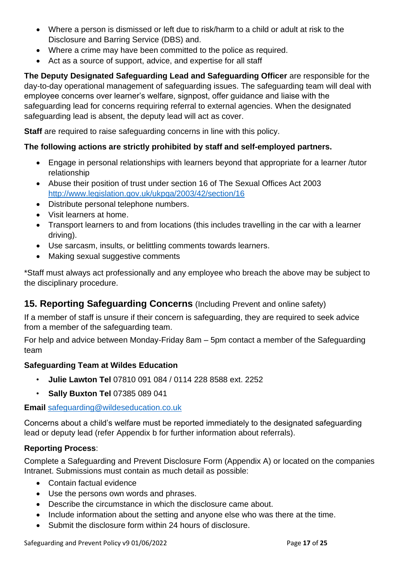- Where a person is dismissed or left due to risk/harm to a child or adult at risk to the Disclosure and Barring Service (DBS) and.
- Where a crime may have been committed to the police as required.
- Act as a source of support, advice, and expertise for all staff

**The Deputy Designated Safeguarding Lead and Safeguarding Officer** are responsible for the day-to-day operational management of safeguarding issues. The safeguarding team will deal with employee concerns over learner's welfare, signpost, offer guidance and liaise with the safeguarding lead for concerns requiring referral to external agencies. When the designated safeguarding lead is absent, the deputy lead will act as cover.

**Staff** are required to raise safeguarding concerns in line with this policy.

#### **The following actions are strictly prohibited by staff and self-employed partners.**

- Engage in personal relationships with learners beyond that appropriate for a learner /tutor relationship
- Abuse their position of trust under section 16 of The Sexual Offices Act 2003 <http://www.legislation.gov.uk/ukpga/2003/42/section/16>
- Distribute personal telephone numbers.
- Visit learners at home.
- Transport learners to and from locations (this includes travelling in the car with a learner driving).
- Use sarcasm, insults, or belittling comments towards learners.
- Making sexual suggestive comments

\*Staff must always act professionally and any employee who breach the above may be subject to the disciplinary procedure.

### **15. Reporting Safeguarding Concerns** (Including Prevent and online safety)

If a member of staff is unsure if their concern is safeguarding, they are required to seek advice from a member of the safeguarding team.

For help and advice between Monday-Friday 8am – 5pm contact a member of the Safeguarding team

#### **Safeguarding Team at Wildes Education**

- **Julie Lawton Tel** 07810 091 084 / 0114 228 8588 ext. 2252
- **Sally Buxton Tel** 07385 089 041

#### **Email** [safeguarding@wildeseducation.co.uk](mailto:safeguarding@skillspeoplegroup.com)

Concerns about a child's welfare must be reported immediately to the designated safeguarding lead or deputy lead (refer Appendix b for further information about referrals).

#### **Reporting Process**:

Complete a Safeguarding and Prevent Disclosure Form (Appendix A) or located on the companies Intranet. Submissions must contain as much detail as possible:

- Contain factual evidence
- Use the persons own words and phrases.
- Describe the circumstance in which the disclosure came about.
- Include information about the setting and anyone else who was there at the time.
- Submit the disclosure form within 24 hours of disclosure.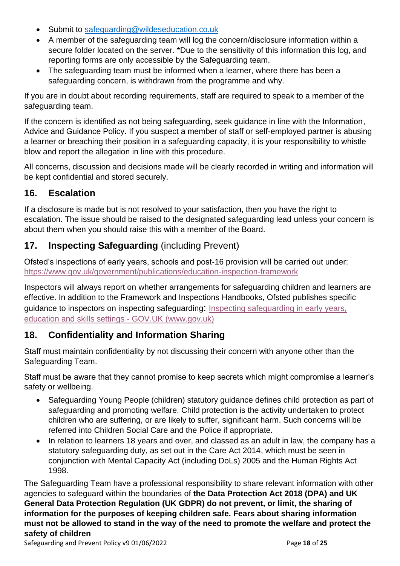- Submit to [safeguarding@wildeseducation.co.uk](mailto:safeguarding@wildeseducation.co.uk)
- A member of the safeguarding team will log the concern/disclosure information within a secure folder located on the server. \*Due to the sensitivity of this information this log, and reporting forms are only accessible by the Safeguarding team.
- The safeguarding team must be informed when a learner, where there has been a safeguarding concern, is withdrawn from the programme and why.

If you are in doubt about recording requirements, staff are required to speak to a member of the safeguarding team.

If the concern is identified as not being safeguarding, seek guidance in line with the Information, Advice and Guidance Policy. If you suspect a member of staff or self-employed partner is abusing a learner or breaching their position in a safeguarding capacity, it is your responsibility to whistle blow and report the allegation in line with this procedure.

All concerns, discussion and decisions made will be clearly recorded in writing and information will be kept confidential and stored securely.

# **16. Escalation**

If a disclosure is made but is not resolved to your satisfaction, then you have the right to escalation. The issue should be raised to the designated safeguarding lead unless your concern is about them when you should raise this with a member of the Board.

# **17. Inspecting Safeguarding** (including Prevent)

Ofsted's inspections of early years, schools and post-16 provision will be carried out under: <https://www.gov.uk/government/publications/education-inspection-framework>

Inspectors will always report on whether arrangements for safeguarding children and learners are effective. In addition to the Framework and Inspections Handbooks, Ofsted publishes specific guidance to inspectors on inspecting safeguarding: [Inspecting safeguarding in early years,](https://www.gov.uk/government/publications/inspecting-safeguarding-in-early-years-education-and-skills)  [education and skills settings -](https://www.gov.uk/government/publications/inspecting-safeguarding-in-early-years-education-and-skills) GOV.UK (www.gov.uk)

# **18. Confidentiality and Information Sharing**

Staff must maintain confidentiality by not discussing their concern with anyone other than the Safeguarding Team.

Staff must be aware that they cannot promise to keep secrets which might compromise a learner's safety or wellbeing.

- Safeguarding Young People (children) statutory guidance defines child protection as part of safeguarding and promoting welfare. Child protection is the activity undertaken to protect children who are suffering, or are likely to suffer, significant harm. Such concerns will be referred into Children Social Care and the Police if appropriate.
- In relation to learners 18 years and over, and classed as an adult in law, the company has a statutory safeguarding duty, as set out in the Care Act 2014, which must be seen in conjunction with Mental Capacity Act (including DoLs) 2005 and the Human Rights Act 1998.

The Safeguarding Team have a professional responsibility to share relevant information with other agencies to safeguard within the boundaries of **the Data Protection Act 2018 (DPA) and UK General Data Protection Regulation (UK GDPR) do not prevent, or limit, the sharing of information for the purposes of keeping children safe. Fears about sharing information must not be allowed to stand in the way of the need to promote the welfare and protect the safety of children**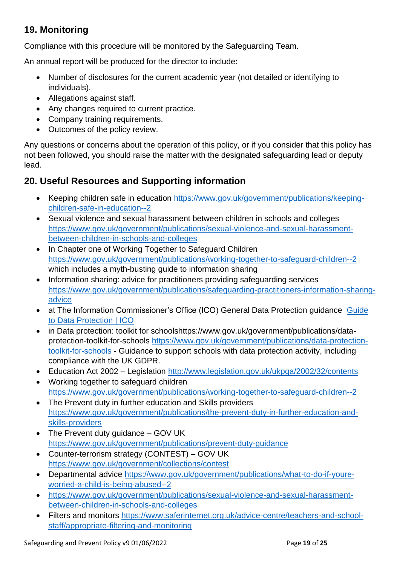# **19. Monitoring**

Compliance with this procedure will be monitored by the Safeguarding Team.

An annual report will be produced for the director to include:

- Number of disclosures for the current academic year (not detailed or identifying to individuals).
- Allegations against staff.
- Any changes required to current practice.
- Company training requirements.
- Outcomes of the policy review.

Any questions or concerns about the operation of this policy, or if you consider that this policy has not been followed, you should raise the matter with the designated safeguarding lead or deputy lead.

# **20. Useful Resources and Supporting information**

- Keeping children safe in education [https://www.gov.uk/government/publications/keeping](https://www.gov.uk/government/publications/keeping-children-safe-in-education--2)[children-safe-in-education--2](https://www.gov.uk/government/publications/keeping-children-safe-in-education--2)
- Sexual violence and sexual harassment between children in schools and colleges [https://www.gov.uk/government/publications/sexual-violence-and-sexual-harassment](https://www.gov.uk/government/publications/sexual-violence-and-sexual-harassment-between-children-in-schools-and-colleges)[between-children-in-schools-and-colleges](https://www.gov.uk/government/publications/sexual-violence-and-sexual-harassment-between-children-in-schools-and-colleges)
- In Chapter one of Working Together to Safeguard Children <https://www.gov.uk/government/publications/working-together-to-safeguard-children--2> which includes a myth-busting guide to information sharing
- Information sharing: advice for practitioners providing safeguarding services [https://www.gov.uk/government/publications/safeguarding-practitioners-information-sharing](https://www.gov.uk/government/publications/safeguarding-practitioners-information-sharing-advice)[advice](https://www.gov.uk/government/publications/safeguarding-practitioners-information-sharing-advice)
- at The Information Commissioner's Office (ICO) General Data Protection guidance [Guide](https://ico.org.uk/for-organisations/guide-to-data-protection/)  [to Data Protection | ICO](https://ico.org.uk/for-organisations/guide-to-data-protection/)
- in Data protection: toolkit for schoolshttps://www.gov.uk/government/publications/dataprotection-toolkit-for-schools [https://www.gov.uk/government/publications/data-protection](https://www.gov.uk/government/publications/data-protection-toolkit-for-schools)[toolkit-for-schools](https://www.gov.uk/government/publications/data-protection-toolkit-for-schools) - Guidance to support schools with data protection activity, including compliance with the UK GDPR.
- Education Act 2002 Legislation <http://www.legislation.gov.uk/ukpga/2002/32/contents>
- Working together to safeguard children <https://www.gov.uk/government/publications/working-together-to-safeguard-children--2>
- The Prevent duty in further education and Skills providers [https://www.gov.uk/government/publications/the-prevent-duty-in-further-education-and](https://www.gov.uk/government/publications/the-prevent-duty-in-further-education-and-skills-providers)[skills-providers](https://www.gov.uk/government/publications/the-prevent-duty-in-further-education-and-skills-providers)
- The Prevent duty quidance GOV UK <https://www.gov.uk/government/publications/prevent-duty-guidance>
- Counter-terrorism strategy (CONTEST) GOV UK <https://www.gov.uk/government/collections/contest>
- Departmental advice [https://www.gov.uk/government/publications/what-to-do-if-youre](https://www.gov.uk/government/publications/what-to-do-if-youre-worried-a-child-is-being-abused--2)[worried-a-child-is-being-abused--2](https://www.gov.uk/government/publications/what-to-do-if-youre-worried-a-child-is-being-abused--2)
- [https://www.gov.uk/government/publications/sexual-violence-and-sexual-harassment](https://www.gov.uk/government/publications/sexual-violence-and-sexual-harassment-between-children-in-schools-and-colleges)[between-children-in-schools-and-colleges](https://www.gov.uk/government/publications/sexual-violence-and-sexual-harassment-between-children-in-schools-and-colleges)
- Filters and monitors [https://www.saferinternet.org.uk/advice-centre/teachers-and-school](https://www.saferinternet.org.uk/advice-centre/teachers-and-school-staff/appropriate-filtering-and-monitoring)[staff/appropriate-filtering-and-monitoring](https://www.saferinternet.org.uk/advice-centre/teachers-and-school-staff/appropriate-filtering-and-monitoring)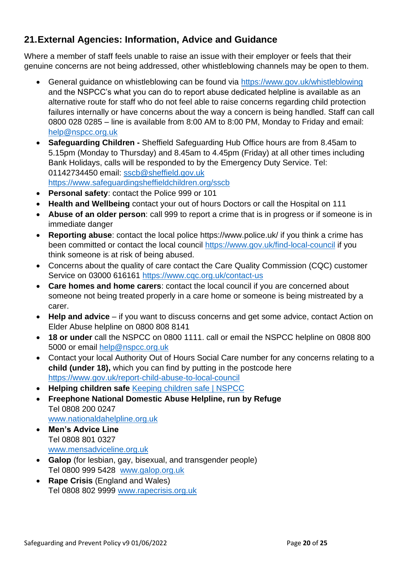# **21.External Agencies: Information, Advice and Guidance**

Where a member of staff feels unable to raise an issue with their employer or feels that their genuine concerns are not being addressed, other whistleblowing channels may be open to them.

- General guidance on whistleblowing can be found via<https://www.gov.uk/whistleblowing> and the NSPCC's what you can do to report abuse dedicated helpline is available as an alternative route for staff who do not feel able to raise concerns regarding child protection failures internally or have concerns about the way a concern is being handled. Staff can call 0800 028 0285 – line is available from 8:00 AM to 8:00 PM, Monday to Friday and email: [help@nspcc.org.uk](mailto:help@nspcc.org.uk)
- **Safeguarding Children -** Sheffield Safeguarding Hub Office hours are from 8.45am to 5.15pm (Monday to Thursday) and 8.45am to 4.45pm (Friday) at all other times including Bank Holidays, calls will be responded to by the Emergency Duty Service. Tel: 01142734450 email: [sscb@sheffield.gov.uk](mailto:sscb@sheffield.gov.uk) <https://www.safeguardingsheffieldchildren.org/sscb>
- **Personal safety**: contact the Police 999 or 101
- **Health and Wellbeing** contact your out of hours Doctors or call the Hospital on 111
- **Abuse of an older person**: call 999 to report a crime that is in progress or if someone is in immediate danger
- **Reporting abuse**: contact the local police https://www.police.uk/ if you think a crime has been committed or contact the local council<https://www.gov.uk/find-local-council> if you think someone is at risk of being abused.
- Concerns about the quality of care contact the Care Quality Commission (CQC) customer Service on 03000 616161<https://www.cqc.org.uk/contact-us>
- **Care homes and home carers**: contact the local council if you are concerned about someone not being treated properly in a care home or someone is being mistreated by a carer.
- **Help and advice** if you want to discuss concerns and get some advice, contact Action on Elder Abuse helpline on 0800 808 8141
- **18 or under** call the NSPCC on 0800 1111. call or email the NSPCC helpline on 0808 800 5000 or email [help@nspcc.org.uk](mailto:help@nspcc.org.uk)
- Contact your local Authority Out of Hours Social Care number for any concerns relating to a **child (under 18),** which you can find by putting in the postcode here <https://www.gov.uk/report-child-abuse-to-local-council>
- **Helping children safe** [Keeping children safe | NSPCC](https://www.nspcc.org.uk/keeping-children-safe/)
- **Freephone National Domestic Abuse Helpline, run by Refuge** Tel 0808 200 0247 [www.nationaldahelpline.org.uk](http://www.nationaldahelpline.org.uk/)
- **Men's Advice Line** Tel 0808 801 0327 [www.mensadviceline.org.uk](http://www.mensadviceline.org.uk/)
- **Galop** (for lesbian, gay, bisexual, and transgender people) Tel 0800 999 5428 [www.galop.org.uk](http://www.galop.org.uk/)
- **Rape Crisis** (England and Wales) Tel 0808 802 9999 [www.rapecrisis.org.uk](http://www.rapecrisis.org.uk/)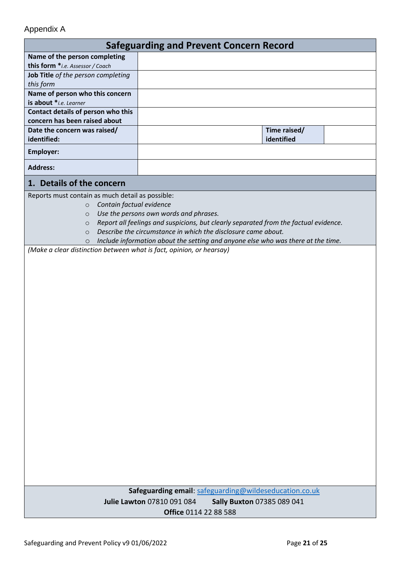# Appendix A

| <b>Safeguarding and Prevent Concern Record</b>                                                   |                                        |              |  |  |  |
|--------------------------------------------------------------------------------------------------|----------------------------------------|--------------|--|--|--|
| Name of the person completing                                                                    |                                        |              |  |  |  |
| this form *i.e. Assessor / Coach                                                                 |                                        |              |  |  |  |
| <b>Job Title</b> of the person completing                                                        |                                        |              |  |  |  |
| this form                                                                                        |                                        |              |  |  |  |
| Name of person who this concern                                                                  |                                        |              |  |  |  |
| is about $*_i.e.$ Learner                                                                        |                                        |              |  |  |  |
| Contact details of person who this                                                               |                                        |              |  |  |  |
| concern has been raised about                                                                    |                                        |              |  |  |  |
| Date the concern was raised/                                                                     |                                        | Time raised/ |  |  |  |
| identified:                                                                                      |                                        | identified   |  |  |  |
| <b>Employer:</b>                                                                                 |                                        |              |  |  |  |
| <b>Address:</b>                                                                                  |                                        |              |  |  |  |
| Details of the concern                                                                           |                                        |              |  |  |  |
| Reports must contain as much detail as possible:                                                 |                                        |              |  |  |  |
| Contain factual evidence<br>$\circ$                                                              |                                        |              |  |  |  |
| $\Omega$                                                                                         | Use the persons own words and phrases. |              |  |  |  |
| Report all feelings and suspicions, but clearly separated from the factual evidence.<br>$\Omega$ |                                        |              |  |  |  |
| Describe the circumstance in which the disclosure came about.<br>$\Omega$                        |                                        |              |  |  |  |
| Include information about the setting and anyone else who was there at the time.<br>$\circ$      |                                        |              |  |  |  |
| (Make a clear distinction between what is fact, opinion, or hearsay)                             |                                        |              |  |  |  |
|                                                                                                  |                                        |              |  |  |  |
|                                                                                                  |                                        |              |  |  |  |
|                                                                                                  |                                        |              |  |  |  |

**Safeguarding email**: [safeguarding@wildeseducation.co.uk](mailto:safeguarding@wildeseducation.co.uk)  **Julie Lawton** 07810 091 084 **Sally Buxton** 07385 089 041 **Office** 0114 22 88 588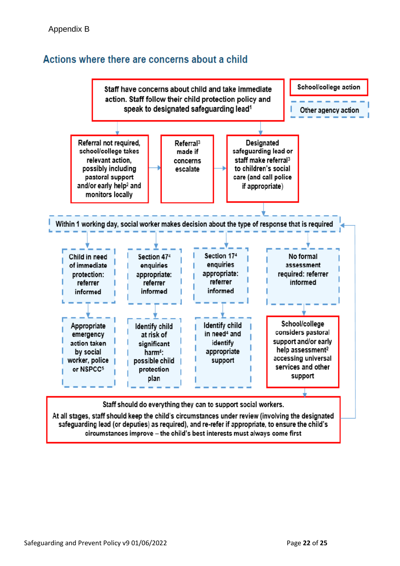# Actions where there are concerns about a child



safeguarding lead (or deputies) as required), and re-refer if appropriate, to ensure the child's circumstances improve - the child's best interests must always come first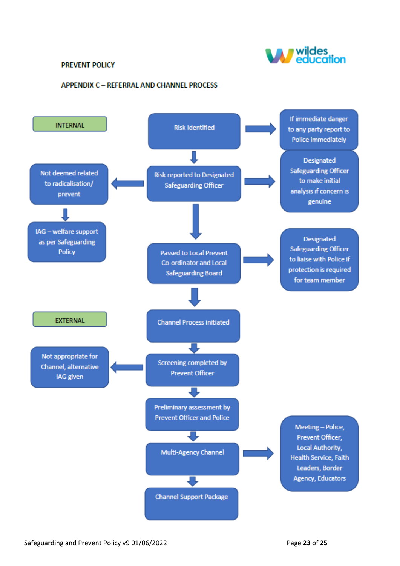

#### **APPENDIX C - REFERRAL AND CHANNEL PROCESS**

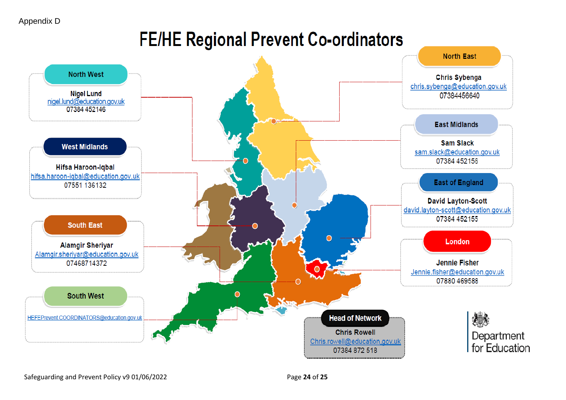# **FE/HE Regional Prevent Co-ordinators**